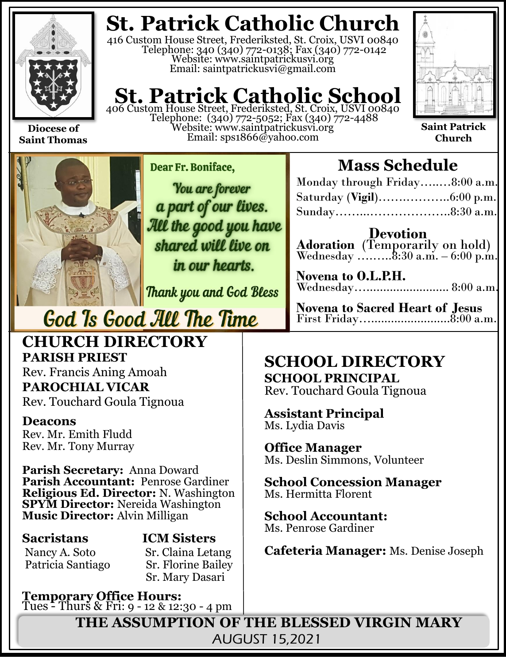

**Diocese of Saint Thomas**

## **St. Patrick Catholic Church**

416 Custom House Street, Frederiksted, St. Croix, USVI 00840 Telephone: 340 (340) 772-0138; Fax (340) 772-0142 Website: www.saintpatrickusvi.org Email: saintpatrickusvi@gmail.com

# **St. Patrick Catholic School** 406 Custom House Street, Frederiksted, St. Croix, USVI 00840

Telephone: (340) 772-5052; Fax (340) 772-4488 Website: www.saintpatrickusvi.org Email: sps1866@yahoo.com



**Saint Patrick Church**



Dear Fr. Boniface,

**You are forever** a part of our lives. All the good you have shared will live on in our hearts.

Thank you and God Bless

# **God Is Good All The Time**

### **CHURCH DIRECTORY PARISH PRIEST**

Rev. Francis Aning Amoah **PAROCHIAL VICAR** Rev. Touchard Goula Tignoua

## **Deacons**

Rev. Mr. Emith Fludd Rev. Mr. Tony Murray

**Parish Secretary:** Anna Doward **Parish Accountant:** Penrose Gardiner **Religious Ed. Director:** N. Washington **SPYM Director:** Nereida Washington **Music Director:** Alvin Milligan

## **Sacristans ICM Sisters**

Nancy A. Soto Sr. Claina Letang<br>Patricia Santiago Sr. Florine Bailey Sr. Florine Bailey Sr. Mary Dasari

**Temporary Office Hours:**  Tues - Thurs & Fri: 9 - 12 & 12:30 - 4 pm

## **Mass Schedule**

| Monday through Friday8:00 a.m. |  |
|--------------------------------|--|
|                                |  |
|                                |  |

**Devotion Adoration** (Temporarily on hold) Wednesday .......... $8:30$  a.m.  $-6:00$  p.m.

**Novena to O.L.P.H.** Wednesday…......................... 8:00 a.m.

**Novena to Sacred Heart of Jesus** First Friday…........................8:00 a.m.

## **SCHOOL DIRECTORY SCHOOL PRINCIPAL**

Rev. Touchard Goula Tignoua

**Assistant Principal** Ms. Lydia Davis

**Office Manager** Ms. Deslin Simmons, Volunteer

**School Concession Manager** Ms. Hermitta Florent

**School Accountant:**  Ms. Penrose Gardiner

**Cafeteria Manager:** Ms. Denise Joseph

**THE ASSUMPTION OF THE BLESSED VIRGIN MARY** AUGUST 15,2021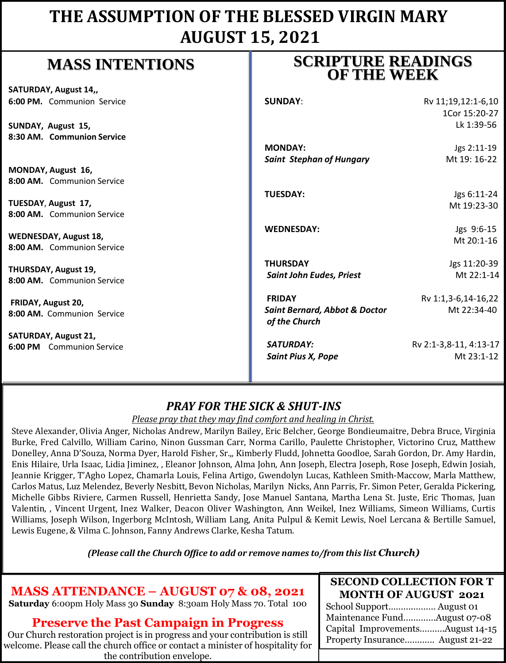## **THE ASSUMPTION OF THE BLESSED VIRGIN MARY AUGUST 15, 2021**

## **MASS INTENTIONS**

**SATURDAY, August 14,, 6:00 PM.** Communion Service

**SUNDAY, August 15, 8:30 AM. Communion Service**

**MONDAY, August 16, 8:00 AM.** Communion Service

**TUESDAY**, **August 17, 8:00 AM.** Communion Service

**WEDNESDAY, August 18, 8:00 AM.** Communion Service

**THURSDAY, August 19, 8:00 AM.** Communion Service

**FRIDAY, August 20, 8:00 AM.** Communion Service

**SATURDAY, August 21, 6:00 PM** Communion Service

## **SCRIPTURE READINGS OF THE WEEK**

| <b>SUNDAY:</b>                                                             | Rv 11;19,12:1-6,10<br>1Cor 15:20-27<br>Lk 1:39-56 |
|----------------------------------------------------------------------------|---------------------------------------------------|
| <b>MONDAY:</b><br><b>Saint Stephan of Hungary</b>                          | Jgs 2:11-19<br>Mt 19: 16-22                       |
| <b>TUESDAY:</b>                                                            | Jgs 6:11-24<br>Mt 19:23-30                        |
| <b>WEDNESDAY:</b>                                                          | Jgs 9:6-15<br>Mt 20:1-16                          |
| <b>THURSDAY</b><br><b>Saint John Eudes, Priest</b>                         | Jgs 11:20-39<br>Mt 22:1-14                        |
| <b>FRIDAY</b><br><b>Saint Bernard, Abbot &amp; Doctor</b><br>of the Church | Rv 1:1,3-6,14-16,22<br>Mt 22:34-40                |
| SATURDAY:<br><b>Saint Pius X, Pope</b>                                     | Rv 2:1-3,8-11, 4:13-17<br>Mt 23:1-12              |

### *PRAY FOR THE SICK & SHUT-INS*

*Please pray that they may find comfort and healing in Christ.*

Steve Alexander, Olivia Anger, Nicholas Andrew, Marilyn Bailey, Eric Belcher, George Bondieumaitre, Debra Bruce, Virginia Burke, Fred Calvillo, William Carino, Ninon Gussman Carr, Norma Carillo, Paulette Christopher, Victorino Cruz, Matthew Donelley, Anna D'Souza, Norma Dyer, Harold Fisher, Sr.,, Kimberly Fludd, Johnetta Goodloe, Sarah Gordon, Dr. Amy Hardin, Enis Hilaire, Urla Isaac, Lidia Jiminez, , Eleanor Johnson, Alma John, Ann Joseph, Electra Joseph, Rose Joseph, Edwin Josiah, Jeannie Krigger, T'Agho Lopez, Chamarla Louis, Felina Artigo, Gwendolyn Lucas, Kathleen Smith-Maccow, Marla Matthew, Carlos Matus, Luz Melendez, Beverly Nesbitt, Bevon Nicholas, Marilyn Nicks, Ann Parris, Fr. Simon Peter, Geralda Pickering, Michelle Gibbs Riviere, Carmen Russell, Henrietta Sandy, Jose Manuel Santana, Martha Lena St. Juste, Eric Thomas, Juan Valentin, , Vincent Urgent, Inez Walker, Deacon Oliver Washington, Ann Weikel, Inez Williams, Simeon Williams, Curtis Williams, Joseph Wilson, Ingerborg McIntosh, William Lang, Anita Pulpul & Kemit Lewis, Noel Lercana & Bertille Samuel, Lewis Eugene, & Vilma C. Johnson, Fanny Andrews Clarke, Kesha Tatum.

*(Please call the Church Office to add or remove names to/from this list Church)*

### **MASS ATTENDANCE – AUGUST 07 & 08, 2021**

**Saturday** 6:00pm Holy Mass 30 **Sunday** 8:30am Holy Mass 70. Total 100

### **Preserve the Past Campaign in Progress**

Our Church restoration project is in progress and your contribution is still welcome. Please call the church office or contact a minister of hospitality for the contribution envelope.

#### **SECOND COLLECTION FOR T MONTH OF AUGUST 2021**

School Support……….……… August 01 Maintenance Fund….………August 07-08 Capital Improvements……….August 14-15 Property Insurance………… August 21-22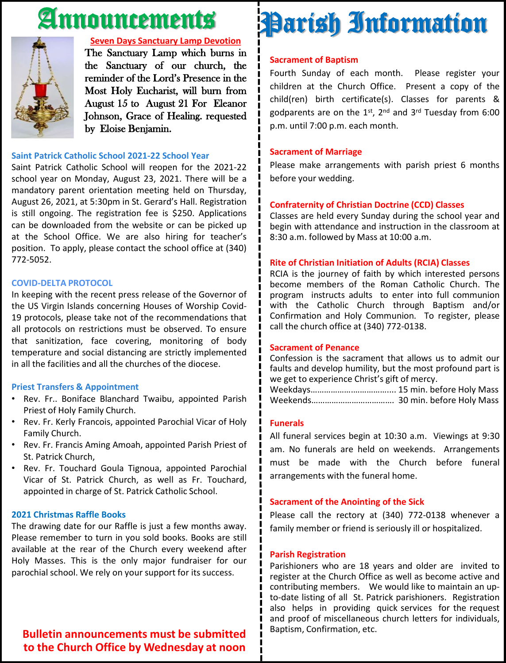# Announcements



#### **Seven Days Sanctuary Lamp Devotion**

The Sanctuary Lamp which burns in the Sanctuary of our church, the reminder of the Lord's Presence in the Most Holy Eucharist, will burn from August 15 to August 21 For Eleanor Johnson, Grace of Healing. requested by Eloise Benjamin.

#### **Saint Patrick Catholic School 2021-22 School Year**

Saint Patrick Catholic School will reopen for the 2021-22 school year on Monday, August 23, 2021. There will be a mandatory parent orientation meeting held on Thursday, August 26, 2021, at 5:30pm in St. Gerard's Hall. Registration is still ongoing. The registration fee is \$250. Applications can be downloaded from the website or can be picked up at the School Office. We are also hiring for teacher's position. To apply, please contact the school office at (340) 772-5052.

#### **COVID-DELTA PROTOCOL**

In keeping with the recent press release of the Governor of the US Virgin Islands concerning Houses of Worship Covid-19 protocols, please take not of the recommendations that all protocols on restrictions must be observed. To ensure that sanitization, face covering, monitoring of body temperature and social distancing are strictly implemented in all the facilities and all the churches of the diocese.

#### **Priest Transfers & Appointment**

- Rev. Fr.. Boniface Blanchard Twaibu, appointed Parish Priest of Holy Family Church.
- Rev. Fr. Kerly Francois, appointed Parochial Vicar of Holy Family Church.
- Rev. Fr. Francis Aming Amoah, appointed Parish Priest of St. Patrick Church,
- Rev. Fr. Touchard Goula Tignoua, appointed Parochial Vicar of St. Patrick Church, as well as Fr. Touchard, appointed in charge of St. Patrick Catholic School.

#### **2021 Christmas Raffle Books**

The drawing date for our Raffle is just a few months away. Please remember to turn in you sold books. Books are still available at the rear of the Church every weekend after Holy Masses. This is the only major fundraiser for our parochial school. We rely on your support for its success.

#### children at the Church Office. Present a copy of the child(ren) birth certificate(s). Classes for parents & godparents are on the 1st, 2<sup>nd</sup> and 3<sup>rd</sup> Tuesday from 6:00

**Sacrament of Baptism**

#### **Sacrament of Marriage**

p.m. until 7:00 p.m. each month.

Please make arrangements with parish priest 6 months before your wedding.

Fourth Sunday of each month. Please register your

Parish Information

#### **Confraternity of Christian Doctrine (CCD) Classes**

Classes are held every Sunday during the school year and begin with attendance and instruction in the classroom at 8:30 a.m. followed by Mass at 10:00 a.m.

#### **Rite of Christian Initiation of Adults (RCIA) Classes**

RCIA is the journey of faith by which interested persons become members of the Roman Catholic Church. The program instructs adults to enter into full communion with the Catholic Church through Baptism and/or Confirmation and Holy Communion. To register, please call the church office at (340) 772-0138.

#### **Sacrament of Penance**

Confession is the sacrament that allows us to admit our faults and develop humility, but the most profound part is we get to experience Christ's gift of mercy.

Weekdays……………….…………….... 15 min. before Holy Mass Weekends………………………………. 30 min. before Holy Mass

#### **Funerals**

All funeral services begin at 10:30 a.m. Viewings at 9:30 am. No funerals are held on weekends. Arrangements must be made with the Church before funeral arrangements with the funeral home.

#### **Sacrament of the Anointing of the Sick**

Please call the rectory at (340) 772-0138 whenever a family member or friend is seriously ill or hospitalized.

#### **Parish Registration**

Parishioners who are 18 years and older are invited to register at the Church Office as well as become active and contributing members. We would like to maintain an upto-date listing of all St. Patrick parishioners. Registration also helps in providing quick services for the request and proof of miscellaneous church letters for individuals, Baptism, Confirmation, etc.

**Bulletin announcements must be submitted to the Church Office by Wednesday at noon**